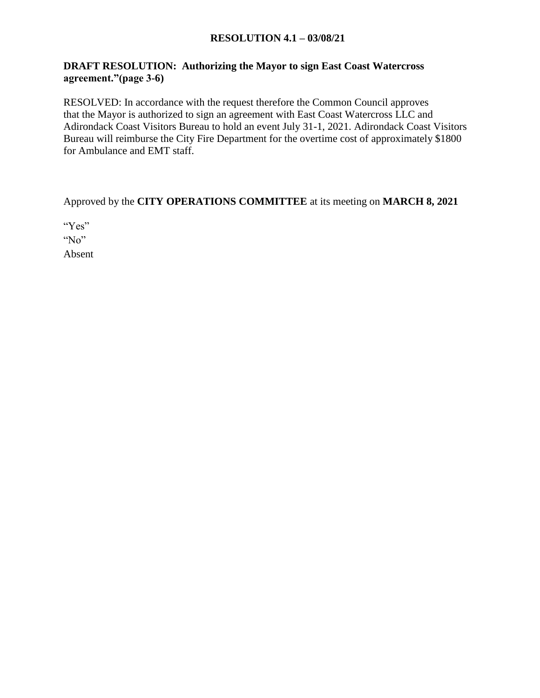#### **RESOLUTION 4.1 – 03/08/21**

## **DRAFT RESOLUTION: Authorizing the Mayor to sign East Coast Watercross agreement."(page 3-6)**

RESOLVED: In accordance with the request therefore the Common Council approves that the Mayor is authorized to sign an agreement with East Coast Watercross LLC and Adirondack Coast Visitors Bureau to hold an event July 31-1, 2021. Adirondack Coast Visitors Bureau will reimburse the City Fire Department for the overtime cost of approximately \$1800 for Ambulance and EMT staff.

Approved by the **CITY OPERATIONS COMMITTEE** at its meeting on **MARCH 8, 2021**

"Yes" "No" Absent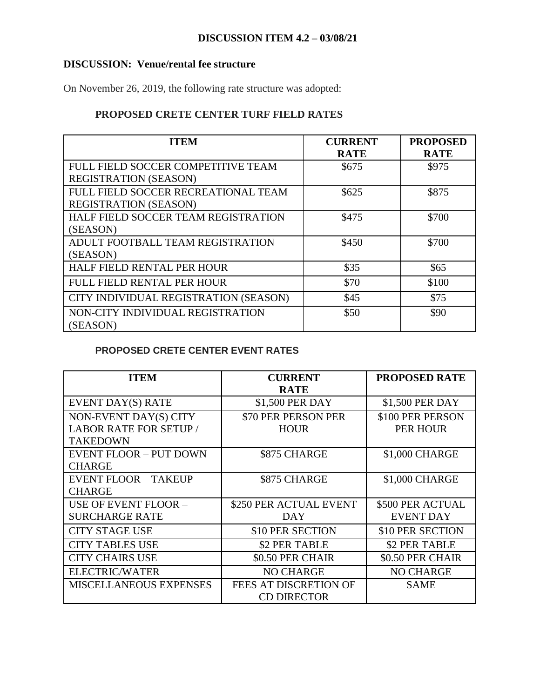## **DISCUSSION ITEM 4.2 – 03/08/21**

#### **DISCUSSION: Venue/rental fee structure**

On November 26, 2019, the following rate structure was adopted:

# **PROPOSED CRETE CENTER TURF FIELD RATES**

| <b>ITEM</b>                           | <b>CURRENT</b> | <b>PROPOSED</b> |
|---------------------------------------|----------------|-----------------|
|                                       | <b>RATE</b>    | <b>RATE</b>     |
| FULL FIELD SOCCER COMPETITIVE TEAM    | \$675          | \$975           |
| <b>REGISTRATION (SEASON)</b>          |                |                 |
| FULL FIELD SOCCER RECREATIONAL TEAM   | \$625          | \$875           |
| <b>REGISTRATION (SEASON)</b>          |                |                 |
| HALF FIELD SOCCER TEAM REGISTRATION   | \$475          | \$700           |
| (SEASON)                              |                |                 |
| ADULT FOOTBALL TEAM REGISTRATION      | \$450          | \$700           |
| (SEASON)                              |                |                 |
| HALF FIELD RENTAL PER HOUR            | \$35           | \$65            |
| <b>FULL FIELD RENTAL PER HOUR</b>     | \$70           | \$100           |
| CITY INDIVIDUAL REGISTRATION (SEASON) | \$45           | \$75            |
| NON-CITY INDIVIDUAL REGISTRATION      | \$50           | \$90            |
| (SEASON)                              |                |                 |

## **PROPOSED CRETE CENTER EVENT RATES**

| <b>ITEM</b>                   | <b>CURRENT</b>         | <b>PROPOSED RATE</b> |
|-------------------------------|------------------------|----------------------|
|                               | <b>RATE</b>            |                      |
| <b>EVENT DAY(S) RATE</b>      | \$1,500 PER DAY        | \$1,500 PER DAY      |
| NON-EVENT DAY(S) CITY         | \$70 PER PERSON PER    | \$100 PER PERSON     |
| <b>LABOR RATE FOR SETUP /</b> | <b>HOUR</b>            | <b>PER HOUR</b>      |
| <b>TAKEDOWN</b>               |                        |                      |
| <b>EVENT FLOOR - PUT DOWN</b> | \$875 CHARGE           | \$1,000 CHARGE       |
| <b>CHARGE</b>                 |                        |                      |
| <b>EVENT FLOOR - TAKEUP</b>   | \$875 CHARGE           | \$1,000 CHARGE       |
| <b>CHARGE</b>                 |                        |                      |
| <b>USE OF EVENT FLOOR -</b>   | \$250 PER ACTUAL EVENT | \$500 PER ACTUAL     |
| <b>SURCHARGE RATE</b>         | DAY                    | <b>EVENT DAY</b>     |
| <b>CITY STAGE USE</b>         | \$10 PER SECTION       | \$10 PER SECTION     |
| <b>CITY TABLES USE</b>        | \$2 PER TABLE          | \$2 PER TABLE        |
| <b>CITY CHAIRS USE</b>        | \$0.50 PER CHAIR       | \$0.50 PER CHAIR     |
| <b>ELECTRIC/WATER</b>         | <b>NO CHARGE</b>       | <b>NO CHARGE</b>     |
| <b>MISCELLANEOUS EXPENSES</b> | FEES AT DISCRETION OF  | SAME                 |
|                               | <b>CD DIRECTOR</b>     |                      |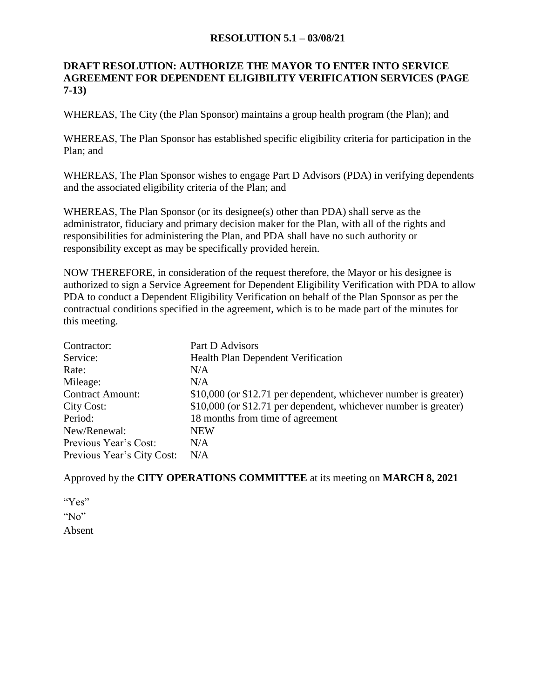#### **RESOLUTION 5.1 – 03/08/21**

#### **DRAFT RESOLUTION: AUTHORIZE THE MAYOR TO ENTER INTO SERVICE AGREEMENT FOR DEPENDENT ELIGIBILITY VERIFICATION SERVICES (PAGE 7-13)**

WHEREAS, The City (the Plan Sponsor) maintains a group health program (the Plan); and

WHEREAS, The Plan Sponsor has established specific eligibility criteria for participation in the Plan; and

WHEREAS, The Plan Sponsor wishes to engage Part D Advisors (PDA) in verifying dependents and the associated eligibility criteria of the Plan; and

WHEREAS, The Plan Sponsor (or its designee(s) other than PDA) shall serve as the administrator, fiduciary and primary decision maker for the Plan, with all of the rights and responsibilities for administering the Plan, and PDA shall have no such authority or responsibility except as may be specifically provided herein.

NOW THEREFORE, in consideration of the request therefore, the Mayor or his designee is authorized to sign a Service Agreement for Dependent Eligibility Verification with PDA to allow PDA to conduct a Dependent Eligibility Verification on behalf of the Plan Sponsor as per the contractual conditions specified in the agreement, which is to be made part of the minutes for this meeting.

| Contractor:                | Part D Advisors                                                  |
|----------------------------|------------------------------------------------------------------|
| Service:                   | Health Plan Dependent Verification                               |
| Rate:                      | N/A                                                              |
| Mileage:                   | N/A                                                              |
| <b>Contract Amount:</b>    | \$10,000 (or \$12.71 per dependent, whichever number is greater) |
| City Cost:                 | \$10,000 (or \$12.71 per dependent, whichever number is greater) |
| Period:                    | 18 months from time of agreement                                 |
| New/Renewal:               | <b>NEW</b>                                                       |
| Previous Year's Cost:      | N/A                                                              |
| Previous Year's City Cost: | N/A                                                              |

Approved by the **CITY OPERATIONS COMMITTEE** at its meeting on **MARCH 8, 2021**

"Yes" " $No$ " Absent